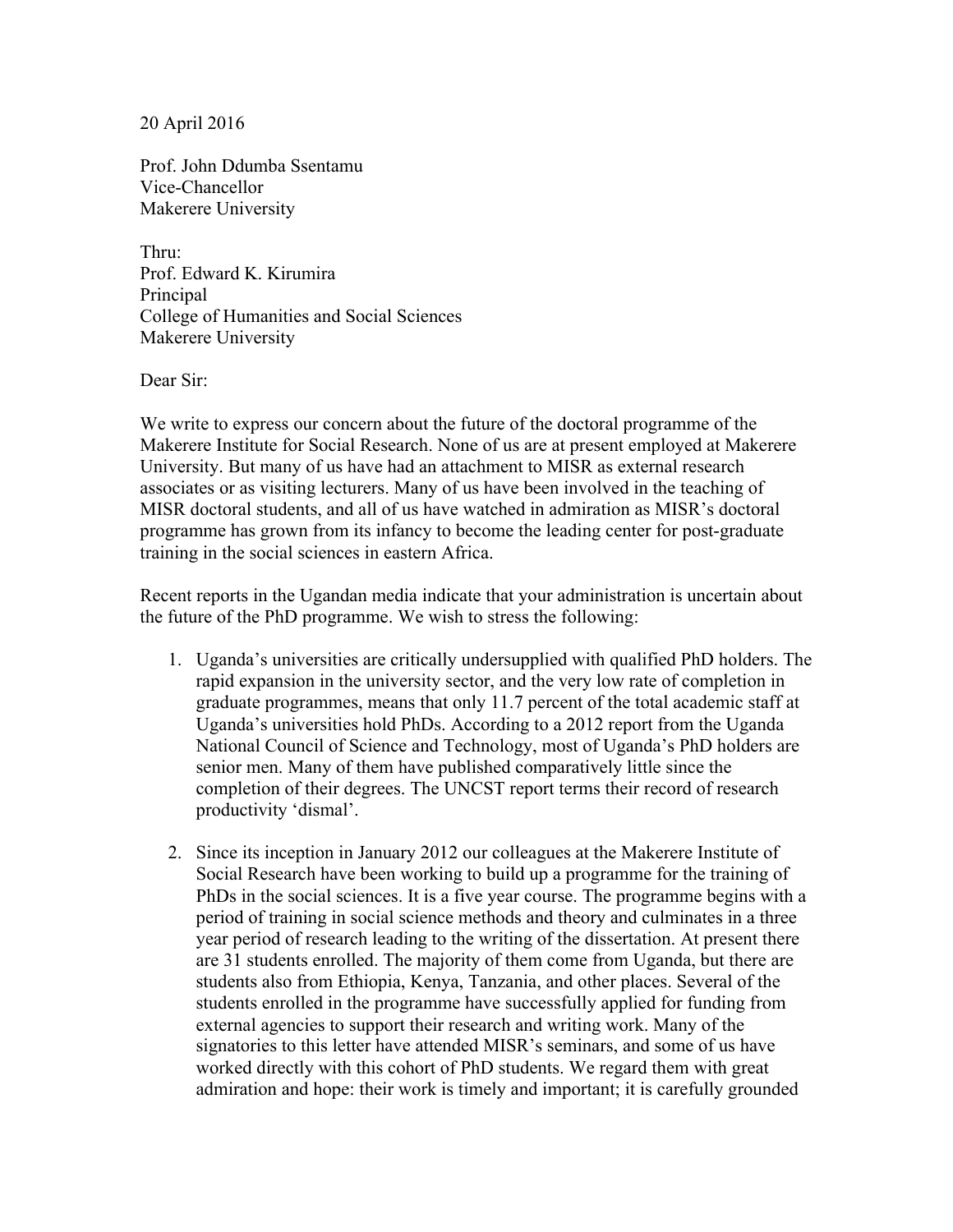20 April 2016

Prof. John Ddumba Ssentamu Vice-Chancellor Makerere University

Thru: Prof. Edward K. Kirumira Principal College of Humanities and Social Sciences Makerere University

Dear Sir:

We write to express our concern about the future of the doctoral programme of the Makerere Institute for Social Research. None of us are at present employed at Makerere University. But many of us have had an attachment to MISR as external research associates or as visiting lecturers. Many of us have been involved in the teaching of MISR doctoral students, and all of us have watched in admiration as MISR's doctoral programme has grown from its infancy to become the leading center for post-graduate training in the social sciences in eastern Africa.

Recent reports in the Ugandan media indicate that your administration is uncertain about the future of the PhD programme. We wish to stress the following:

- 1. Uganda's universities are critically undersupplied with qualified PhD holders. The rapid expansion in the university sector, and the very low rate of completion in graduate programmes, means that only 11.7 percent of the total academic staff at Uganda's universities hold PhDs. According to a 2012 report from the Uganda National Council of Science and Technology, most of Uganda's PhD holders are senior men. Many of them have published comparatively little since the completion of their degrees. The UNCST report terms their record of research productivity 'dismal'.
- 2. Since its inception in January 2012 our colleagues at the Makerere Institute of Social Research have been working to build up a programme for the training of PhDs in the social sciences. It is a five year course. The programme begins with a period of training in social science methods and theory and culminates in a three year period of research leading to the writing of the dissertation. At present there are 31 students enrolled. The majority of them come from Uganda, but there are students also from Ethiopia, Kenya, Tanzania, and other places. Several of the students enrolled in the programme have successfully applied for funding from external agencies to support their research and writing work. Many of the signatories to this letter have attended MISR's seminars, and some of us have worked directly with this cohort of PhD students. We regard them with great admiration and hope: their work is timely and important; it is carefully grounded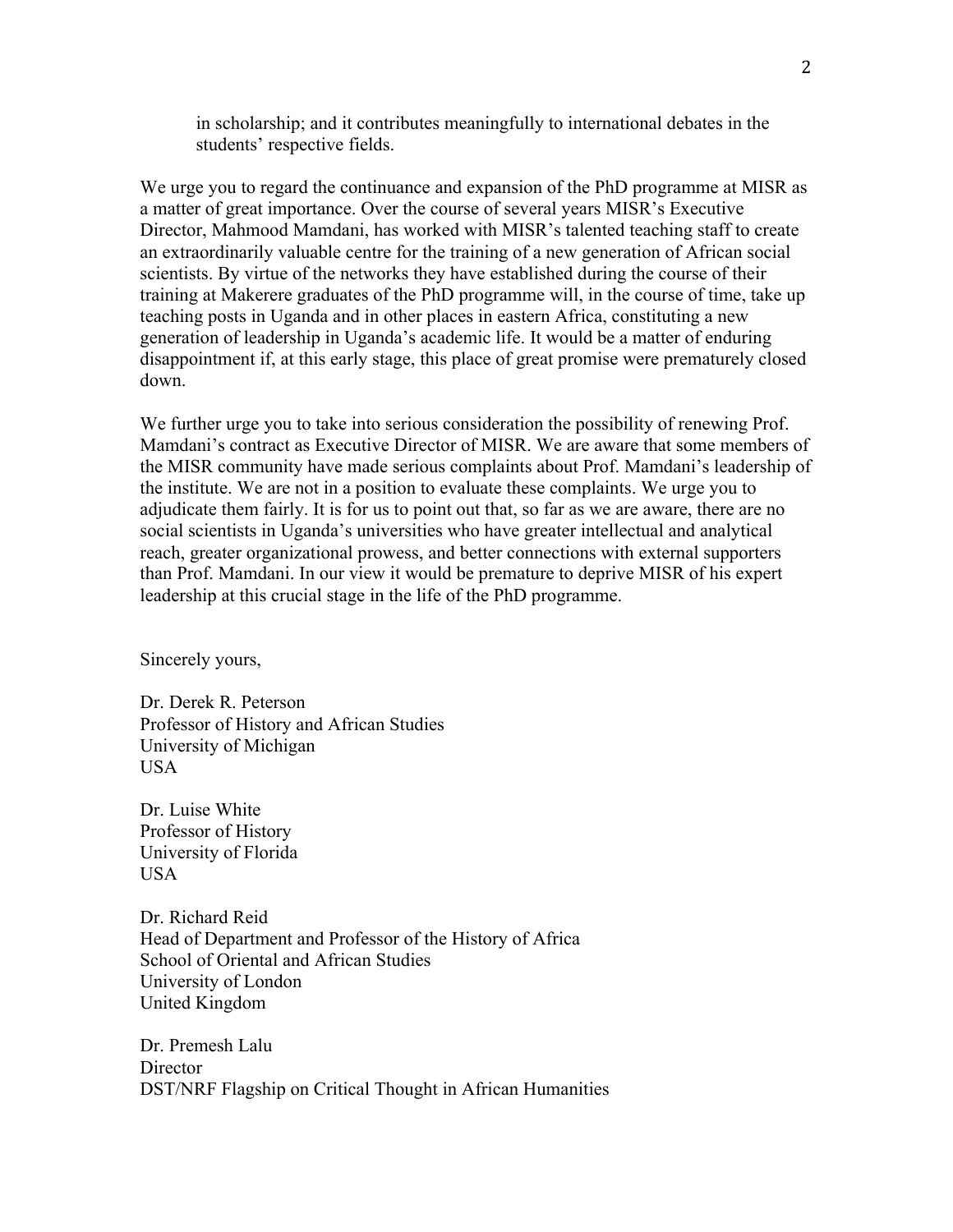in scholarship; and it contributes meaningfully to international debates in the students' respective fields.

We urge you to regard the continuance and expansion of the PhD programme at MISR as a matter of great importance. Over the course of several years MISR's Executive Director, Mahmood Mamdani, has worked with MISR's talented teaching staff to create an extraordinarily valuable centre for the training of a new generation of African social scientists. By virtue of the networks they have established during the course of their training at Makerere graduates of the PhD programme will, in the course of time, take up teaching posts in Uganda and in other places in eastern Africa, constituting a new generation of leadership in Uganda's academic life. It would be a matter of enduring disappointment if, at this early stage, this place of great promise were prematurely closed down.

We further urge you to take into serious consideration the possibility of renewing Prof. Mamdani's contract as Executive Director of MISR. We are aware that some members of the MISR community have made serious complaints about Prof. Mamdani's leadership of the institute. We are not in a position to evaluate these complaints. We urge you to adjudicate them fairly. It is for us to point out that, so far as we are aware, there are no social scientists in Uganda's universities who have greater intellectual and analytical reach, greater organizational prowess, and better connections with external supporters than Prof. Mamdani. In our view it would be premature to deprive MISR of his expert leadership at this crucial stage in the life of the PhD programme.

Sincerely yours,

Dr. Derek R. Peterson Professor of History and African Studies University of Michigan USA

Dr. Luise White Professor of History University of Florida USA

Dr. Richard Reid Head of Department and Professor of the History of Africa School of Oriental and African Studies University of London United Kingdom

Dr. Premesh Lalu **Director** DST/NRF Flagship on Critical Thought in African Humanities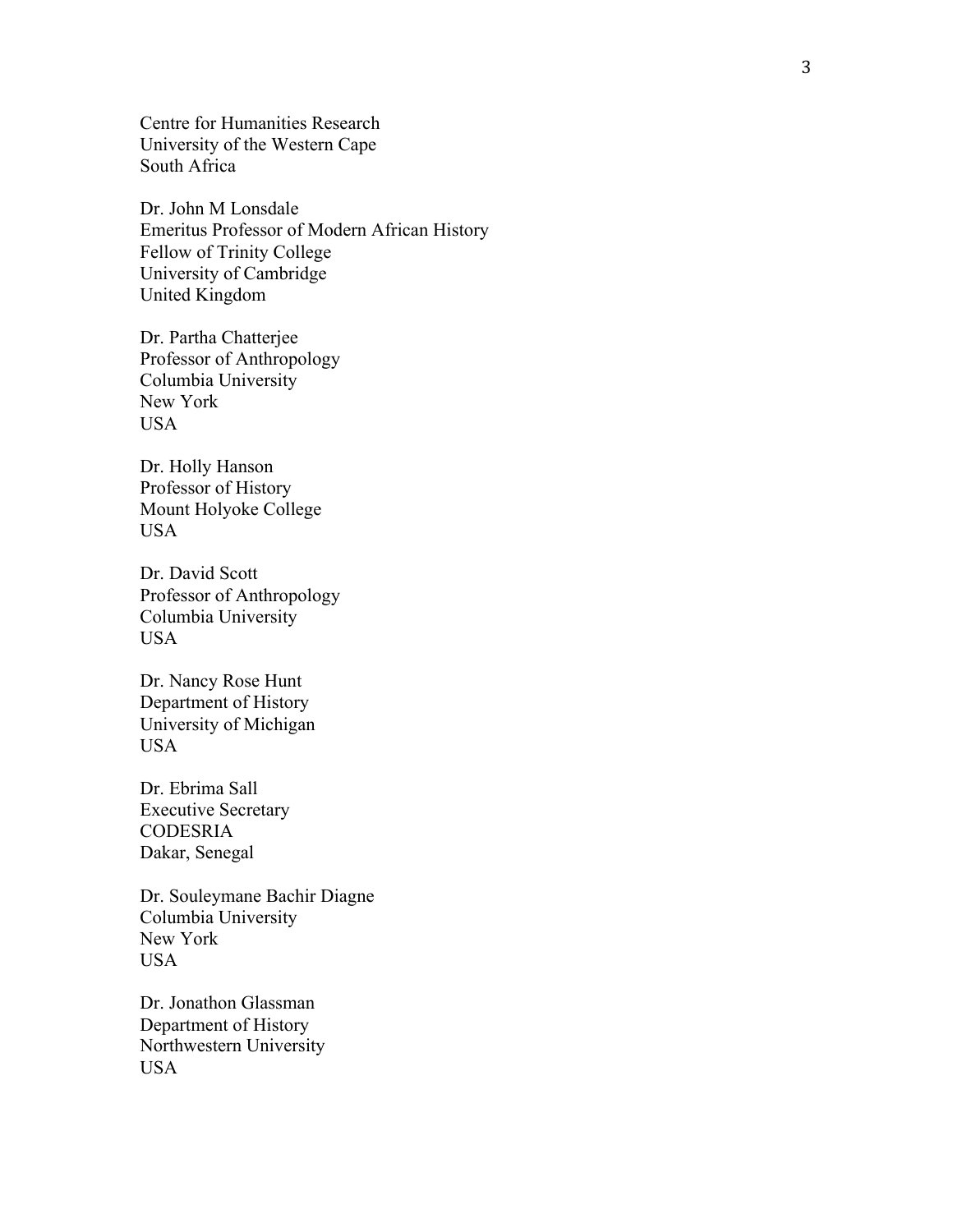Centre for Humanities Research University of the Western Cape South Africa

Dr. John M Lonsdale Emeritus Professor of Modern African History Fellow of Trinity College University of Cambridge United Kingdom

Dr. Partha Chatterjee Professor of Anthropology Columbia University New York **USA** 

Dr. Holly Hanson Professor of History Mount Holyoke College USA

Dr. David Scott Professor of Anthropology Columbia University USA

Dr. Nancy Rose Hunt Department of History University of Michigan USA

Dr. Ebrima Sall Executive Secretary CODESRIA Dakar, Senegal

Dr. Souleymane Bachir Diagne Columbia University New York USA

Dr. Jonathon Glassman Department of History Northwestern University USA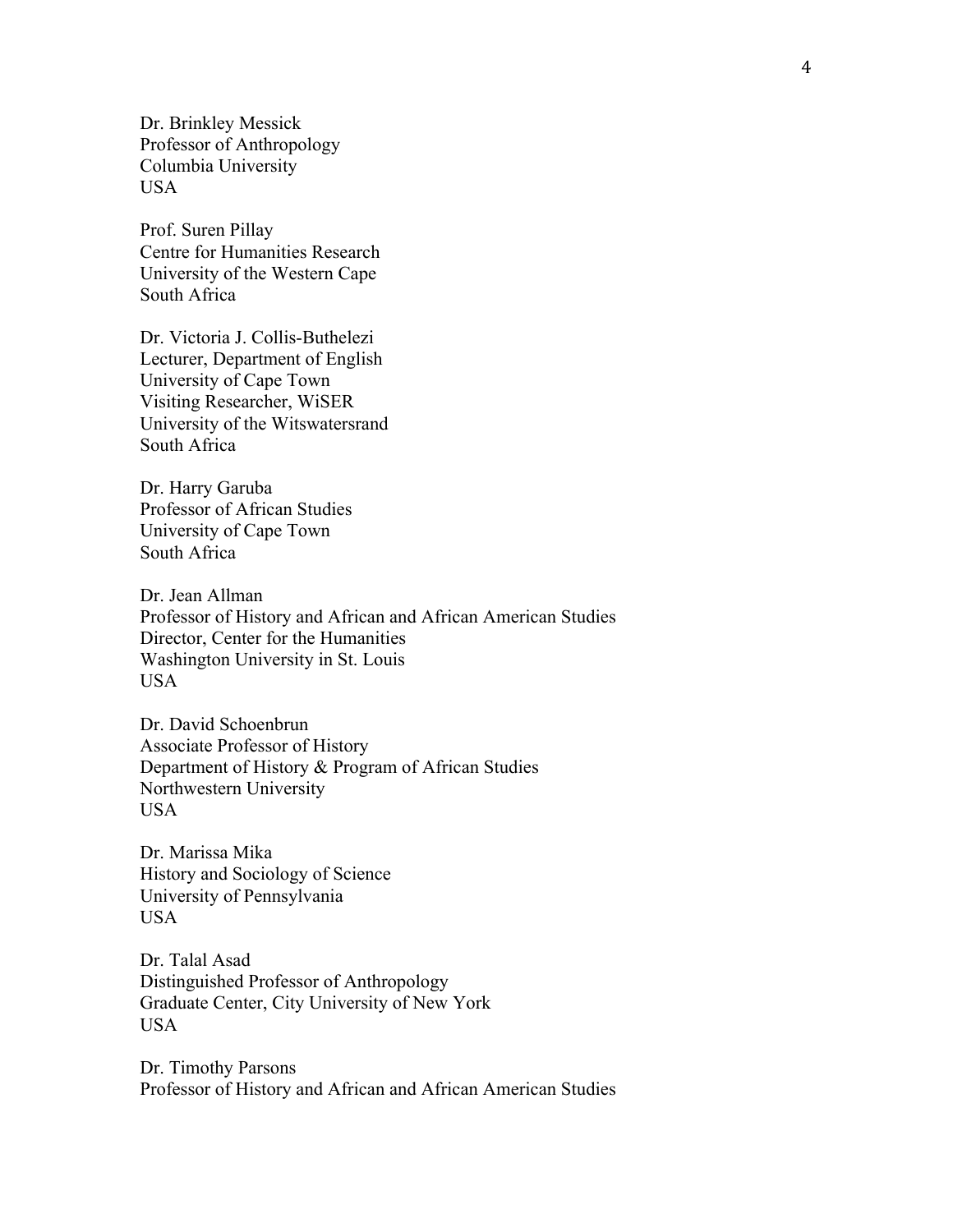Dr. Brinkley Messick Professor of Anthropology Columbia University USA

Prof. Suren Pillay Centre for Humanities Research University of the Western Cape South Africa

Dr. Victoria J. Collis-Buthelezi Lecturer, Department of English University of Cape Town Visiting Researcher, WiSER University of the Witswatersrand South Africa

Dr. Harry Garuba Professor of African Studies University of Cape Town South Africa

Dr. Jean Allman Professor of History and African and African American Studies Director, Center for the Humanities Washington University in St. Louis USA

Dr. David Schoenbrun Associate Professor of History Department of History & Program of African Studies Northwestern University USA

Dr. Marissa Mika History and Sociology of Science University of Pennsylvania USA

Dr. Talal Asad Distinguished Professor of Anthropology Graduate Center, City University of New York USA

Dr. Timothy Parsons Professor of History and African and African American Studies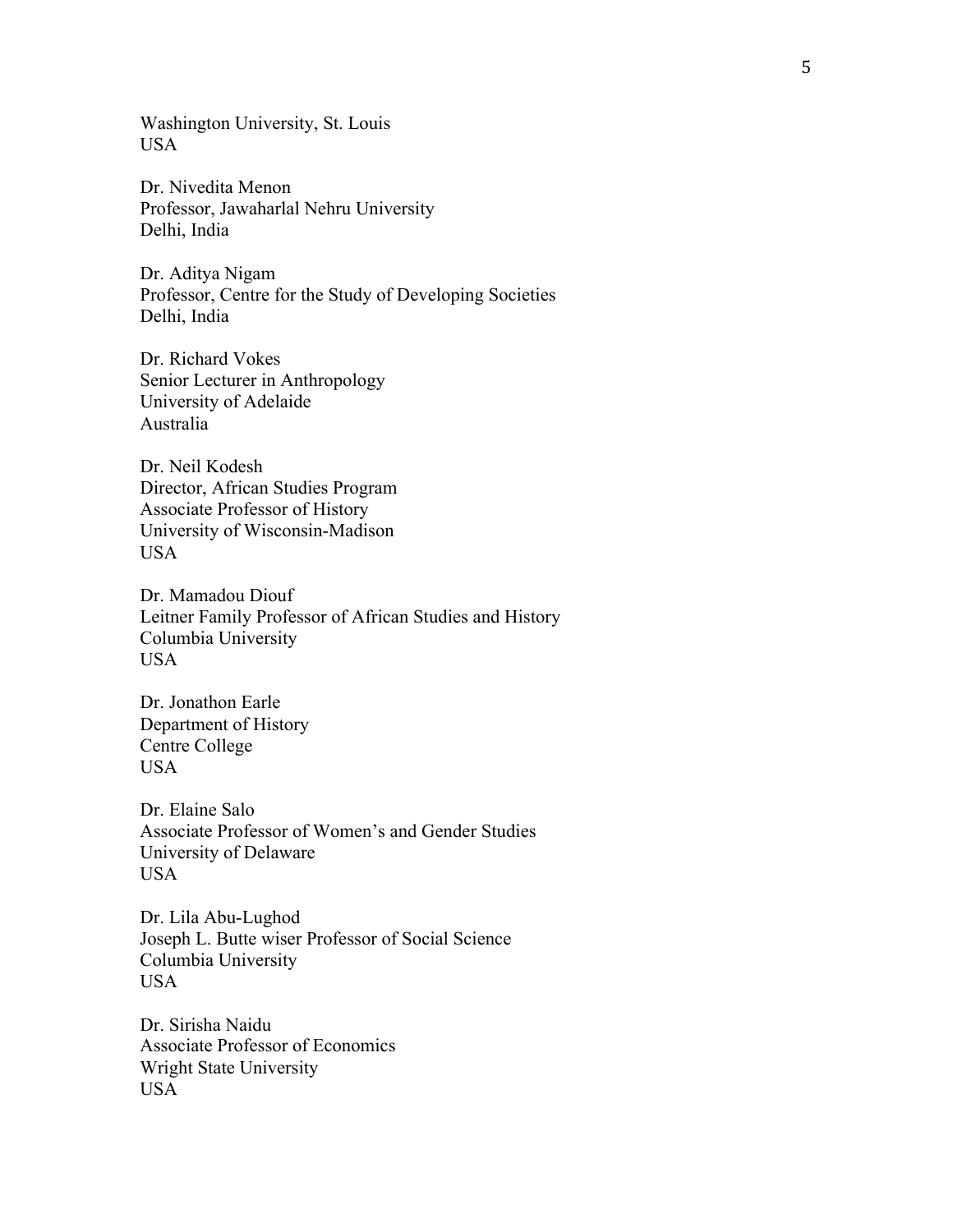Washington University, St. Louis USA

Dr. Nivedita Menon Professor, Jawaharlal Nehru University Delhi, India

Dr. Aditya Nigam Professor, Centre for the Study of Developing Societies Delhi, India

Dr. Richard Vokes Senior Lecturer in Anthropology University of Adelaide Australia

Dr. Neil Kodesh Director, African Studies Program Associate Professor of History University of Wisconsin-Madison USA

Dr. Mamadou Diouf Leitner Family Professor of African Studies and History Columbia University USA

Dr. Jonathon Earle Department of History Centre College USA

Dr. Elaine Salo Associate Professor of Women's and Gender Studies University of Delaware USA

Dr. Lila Abu-Lughod Joseph L. Butte wiser Professor of Social Science Columbia University USA

Dr. Sirisha Naidu Associate Professor of Economics Wright State University USA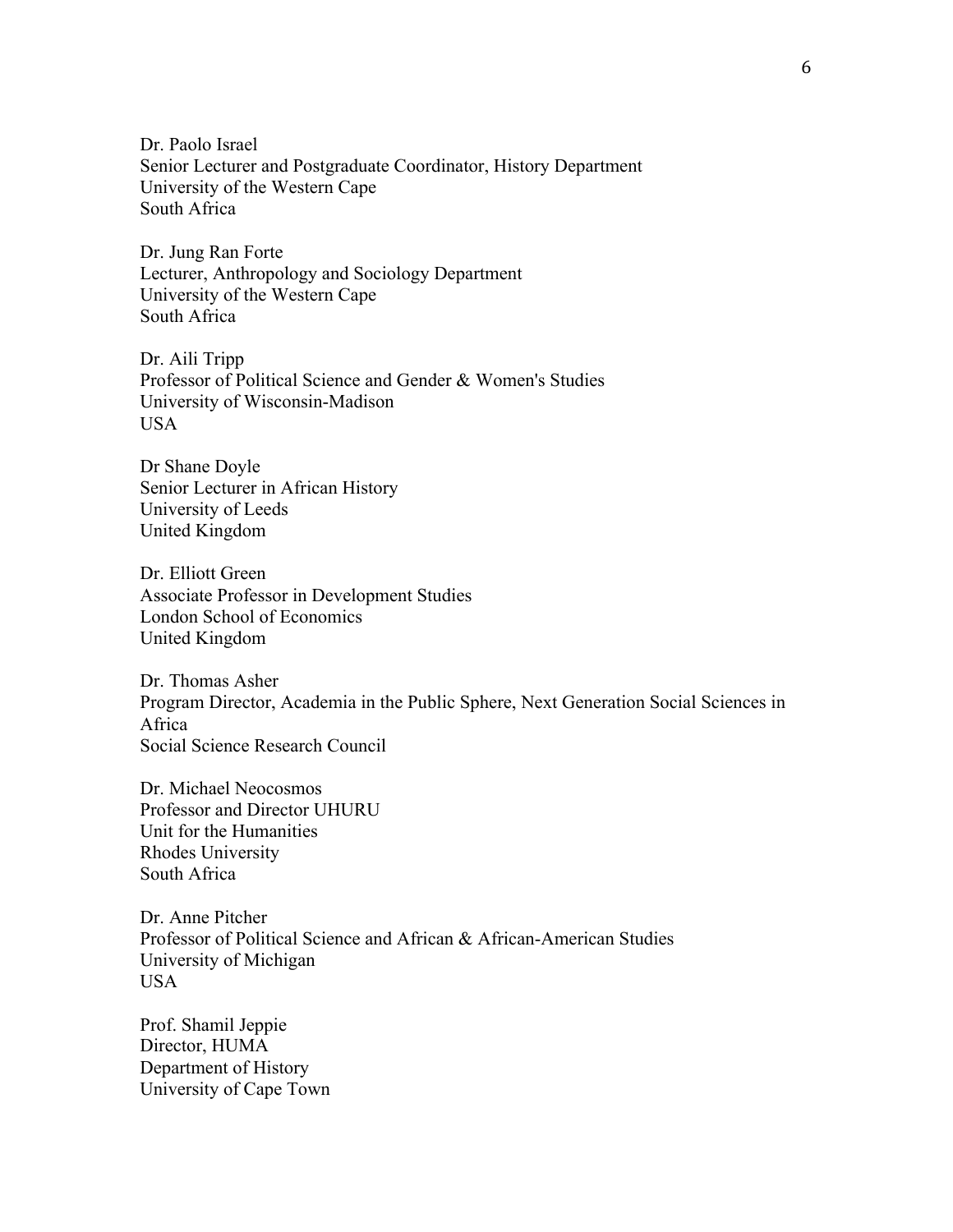Dr. Paolo Israel Senior Lecturer and Postgraduate Coordinator, History Department University of the Western Cape South Africa

Dr. Jung Ran Forte Lecturer, Anthropology and Sociology Department University of the Western Cape South Africa

Dr. Aili Tripp Professor of Political Science and Gender & Women's Studies University of Wisconsin-Madison **USA** 

Dr Shane Doyle Senior Lecturer in African History University of Leeds United Kingdom

Dr. Elliott Green Associate Professor in Development Studies London School of Economics United Kingdom

Dr. Thomas Asher Program Director, Academia in the Public Sphere, Next Generation Social Sciences in Africa Social Science Research Council

Dr. Michael Neocosmos Professor and Director UHURU Unit for the Humanities Rhodes University South Africa

Dr. Anne Pitcher Professor of Political Science and African & African-American Studies University of Michigan USA

Prof. Shamil Jeppie Director, HUMA Department of History University of Cape Town